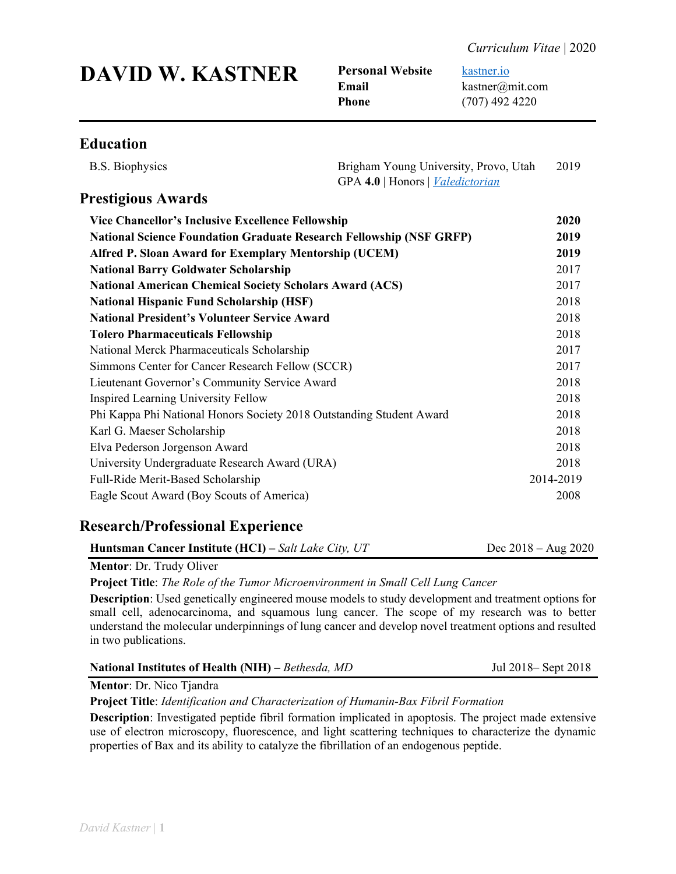|  |  | <b>DAVID W. KASTNER</b> |
|--|--|-------------------------|
|--|--|-------------------------|

**Personal Website** [kastner.io](http://www.kastner.io/) **Email** kastner@mit.com **Phone** (707) 492 4220

## **Education**

| <b>B.S. Biophysics</b>                                                                                        | Brigham Young University, Provo, Utah<br>GPA 4.0   Honors   <i>Valedictorian</i> | 2019         |
|---------------------------------------------------------------------------------------------------------------|----------------------------------------------------------------------------------|--------------|
| <b>Prestigious Awards</b>                                                                                     |                                                                                  |              |
| Vice Chancellor's Inclusive Excellence Fellowship                                                             |                                                                                  | 2020         |
| <b>National Science Foundation Graduate Research Fellowship (NSF GRFP)</b>                                    |                                                                                  | 2019         |
| <b>Alfred P. Sloan Award for Exemplary Mentorship (UCEM)</b>                                                  |                                                                                  | 2019         |
| <b>National Barry Goldwater Scholarship</b><br><b>National American Chemical Society Scholars Award (ACS)</b> |                                                                                  | 2017<br>2017 |
|                                                                                                               |                                                                                  |              |
| <b>National President's Volunteer Service Award</b>                                                           |                                                                                  | 2018         |
| <b>Tolero Pharmaceuticals Fellowship</b>                                                                      |                                                                                  | 2018         |
| National Merck Pharmaceuticals Scholarship                                                                    |                                                                                  | 2017         |
| Simmons Center for Cancer Research Fellow (SCCR)                                                              |                                                                                  | 2017         |
| Lieutenant Governor's Community Service Award                                                                 |                                                                                  | 2018         |
| <b>Inspired Learning University Fellow</b>                                                                    |                                                                                  | 2018         |
| Phi Kappa Phi National Honors Society 2018 Outstanding Student Award                                          |                                                                                  | 2018         |
| Karl G. Maeser Scholarship                                                                                    |                                                                                  | 2018         |
| Elva Pederson Jorgenson Award                                                                                 |                                                                                  | 2018         |
| University Undergraduate Research Award (URA)                                                                 |                                                                                  | 2018         |
| Full-Ride Merit-Based Scholarship                                                                             |                                                                                  | 2014-2019    |
| Eagle Scout Award (Boy Scouts of America)                                                                     |                                                                                  | 2008         |

## **Research/Professional Experience**

| <b>Huntsman Cancer Institute (HCI)</b> – Salt Lake City, UT | Dec $2018 - \text{Aug } 2020$ |
|-------------------------------------------------------------|-------------------------------|
|-------------------------------------------------------------|-------------------------------|

### **Mentor**: Dr. Trudy Oliver

**Project Title**: *The Role of the Tumor Microenvironment in Small Cell Lung Cancer*

**Description**: Used genetically engineered mouse models to study development and treatment options for small cell, adenocarcinoma, and squamous lung cancer. The scope of my research was to better understand the molecular underpinnings of lung cancer and develop novel treatment options and resulted in two publications.

| National Institutes of Health (NIH) – Bethesda, MD | Jul 2018– Sept 2018 |
|----------------------------------------------------|---------------------|
|                                                    |                     |

**Mentor**: Dr. Nico Tjandra

**Project Title**: *Identification and Characterization of Humanin-Bax Fibril Formation*

**Description**: Investigated peptide fibril formation implicated in apoptosis. The project made extensive use of electron microscopy, fluorescence, and light scattering techniques to characterize the dynamic properties of Bax and its ability to catalyze the fibrillation of an endogenous peptide.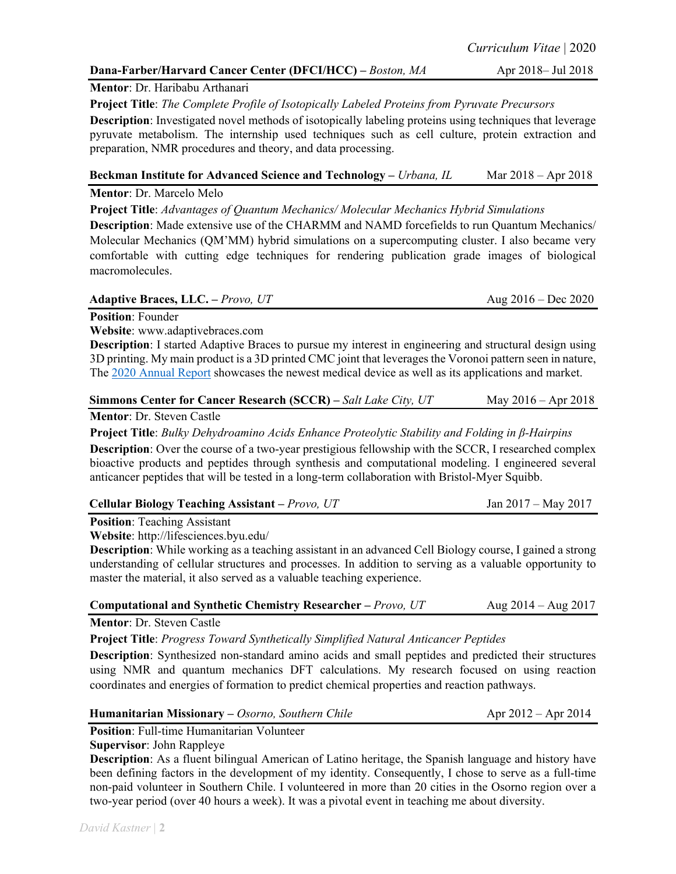## **Dana-Farber/Harvard Cancer Center (DFCI/HCC)** – *Boston, MA* Apr 2018– Jul 2018

## **Mentor**: Dr. Haribabu Arthanari

**Project Title**: *The Complete Profile of Isotopically Labeled Proteins from Pyruvate Precursors*

**Description**: Investigated novel methods of isotopically labeling proteins using techniques that leverage pyruvate metabolism. The internship used techniques such as cell culture, protein extraction and preparation, NMR procedures and theory, and data processing.

| Beckman Institute for Advanced Science and Technology – Urbana, IL             | Mar $2018 -$ Apr $2018$ |
|--------------------------------------------------------------------------------|-------------------------|
| $M_{\text{sub}}$ $\sim$ $\sim$ $\sim$ $M_{\text{sub}}$ $\sim$ $M_{\text{sub}}$ |                         |

**Mentor**: Dr. Marcelo Melo

**Project Title**: *Advantages of Quantum Mechanics/ Molecular Mechanics Hybrid Simulations*

**Description**: Made extensive use of the CHARMM and NAMD forcefields to run Quantum Mechanics/ Molecular Mechanics (QM'MM) hybrid simulations on a supercomputing cluster. I also became very comfortable with cutting edge techniques for rendering publication grade images of biological macromolecules.

#### **Adaptive Braces, LLC. –** *Provo, UT* Aug 2016 – Dec 2020

**Position**: Founder

**Website**: www.adaptivebraces.com

**Description**: I started Adaptive Braces to pursue my interest in engineering and structural design using 3D printing. My main product is a 3D printed CMC joint that leverages the Voronoi pattern seen in nature, The 2020 [Annual Report](https://adaptivebraces.com/uploads/annual_report.pdf) showcases the newest medical device as well as its applications and market.

### **Simmons Center for Cancer Research (SCCR) –** *Salt Lake City, UT* **May 2016 – Apr 2018**

**Mentor**: Dr. Steven Castle

**Project Title**: *Bulky Dehydroamino Acids Enhance Proteolytic Stability and Folding in β-Hairpins*

**Description**: Over the course of a two-year prestigious fellowship with the SCCR, I researched complex bioactive products and peptides through synthesis and computational modeling. I engineered several anticancer peptides that will be tested in a long-term collaboration with Bristol-Myer Squibb.

| Cellular Biology Teaching Assistant – Provo, UT | Jan 2017 – May 2017 |
|-------------------------------------------------|---------------------|
|                                                 |                     |

**Position**: Teaching Assistant

**Website**: http://lifesciences.byu.edu/

**Description**: While working as a teaching assistant in an advanced Cell Biology course, I gained a strong understanding of cellular structures and processes. In addition to serving as a valuable opportunity to master the material, it also served as a valuable teaching experience.

#### **Computational and Synthetic Chemistry Researcher –** *Provo, UT* Aug 2014 – Aug 2017

**Mentor**: Dr. Steven Castle

**Project Title**: *Progress Toward Synthetically Simplified Natural Anticancer Peptides*

**Description**: Synthesized non-standard amino acids and small peptides and predicted their structures using NMR and quantum mechanics DFT calculations. My research focused on using reaction coordinates and energies of formation to predict chemical properties and reaction pathways.

#### **Humanitarian Missionary** – *Osorno, Southern Chile* And Apr 2012 – Apr 2014

**Position**: Full-time Humanitarian Volunteer

#### **Supervisor**: John Rappleye

**Description**: As a fluent bilingual American of Latino heritage, the Spanish language and history have been defining factors in the development of my identity. Consequently, I chose to serve as a full-time non-paid volunteer in Southern Chile. I volunteered in more than 20 cities in the Osorno region over a two-year period (over 40 hours a week). It was a pivotal event in teaching me about diversity.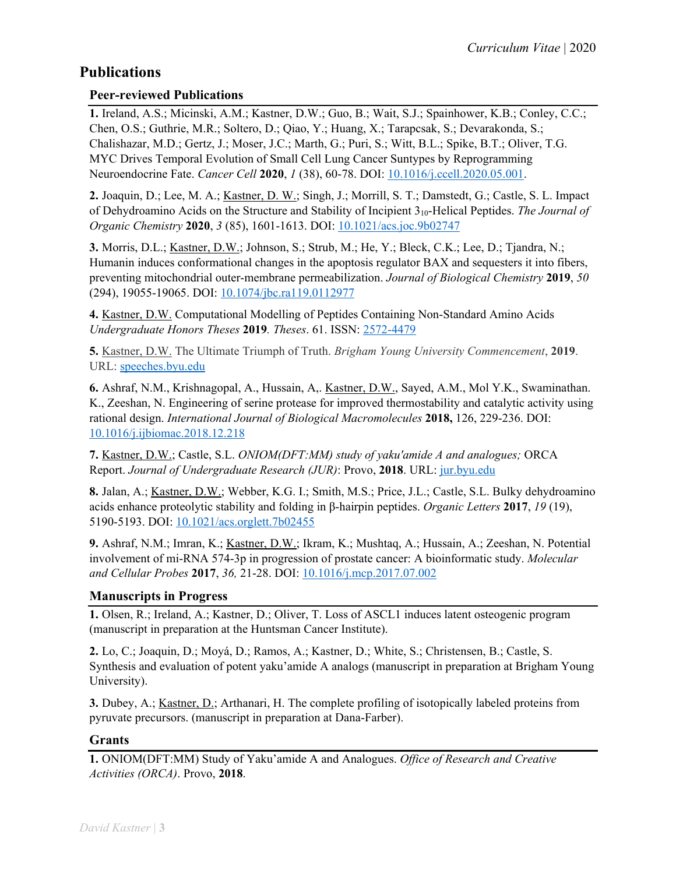# **Publications**

## **Peer-reviewed Publications**

**1.** Ireland, A.S.; Micinski, A.M.; Kastner, D.W.; Guo, B.; Wait, S.J.; Spainhower, K.B.; Conley, C.C.; Chen, O.S.; Guthrie, M.R.; Soltero, D.; Qiao, Y.; Huang, X.; Tarapcsak, S.; Devarakonda, S.; Chalishazar, M.D.; Gertz, J.; Moser, J.C.; Marth, G.; Puri, S.; Witt, B.L.; Spike, B.T.; Oliver, T.G. MYC Drives Temporal Evolution of Small Cell Lung Cancer Suntypes by Reprogramming Neuroendocrine Fate. *Cancer Cell* **2020**, *1* (38), 60-78. DOI: [10.1016/j.ccell.2020.05.001.](https://www.cell.com/cancer-cell/fulltext/S1535-6108(20)30218-X)

**2.** Joaquin, D.; Lee, M. A.; Kastner, D. W.; Singh, J.; Morrill, S. T.; Damstedt, G.; Castle, S. L. Impact of Dehydroamino Acids on the Structure and Stability of Incipient 310-Helical Peptides. *The Journal of Organic Chemistry* **2020**, *3* (85), 1601-1613. DOI: [10.1021/acs.joc.9b02747](https://pubs.acs.org/doi/10.1021/acs.joc.9b02747)

**3.** Morris, D.L.; Kastner, D.W.; Johnson, S.; Strub, M.; He, Y.; Bleck, C.K.; Lee, D.; Tjandra, N.; Humanin induces conformational changes in the apoptosis regulator BAX and sequesters it into fibers, preventing mitochondrial outer-membrane permeabilization. *Journal of Biological Chemistry* **2019**, *50* (294), 19055-19065. DOI: [10.1074/jbc.ra119.0112977](http://www.jbc.org/content/early/2019/11/05/jbc.RA119.011297)

**4.** Kastner, D.W. Computational Modelling of Peptides Containing Non-Standard Amino Acids *Undergraduate Honors Theses* **2019***. Theses*. 61. ISSN: [2572-4479](https://scholarsarchive.byu.edu/studentpub_uht/61)

**5.** Kastner, D.W. The Ultimate Triumph of Truth. *Brigham Young University Commencement*, **2019**. URL: [speeches.byu.edu](https://speeches.byu.edu/wp-content/uploads/pdf/Comm_2019_Kastner.pdf)

**6.** Ashraf, N.M., Krishnagopal, A., Hussain, A,. Kastner, D.W., Sayed, A.M., Mol Y.K., Swaminathan. K., Zeeshan, N. Engineering of serine protease for improved thermostability and catalytic activity using rational design. *International Journal of Biological Macromolecules* **2018,** 126, 229-236. DOI: [10.1016/j.ijbiomac.2018.12.218](https://www.sciencedirect.com/science/article/pii/S0141813018356265?via%3Dihub)

**7.** Kastner, D.W.; Castle, S.L. *ONIOM(DFT:MM) study of yaku'amide A and analogues;* ORCA Report. *Journal of Undergraduate Research (JUR)*: Provo, **2018**. URL: [jur.byu.edu](http://jur.byu.edu/?p=23292)

**8.** Jalan, A.; Kastner, D.W.; Webber, K.G. I.; Smith, M.S.; Price, J.L.; Castle, S.L. Bulky dehydroamino acids enhance proteolytic stability and folding in β-hairpin peptides. *Organic Letters* **2017**, *19* (19), 5190-5193. DOI: [10.1021/acs.orglett.7b02455](http://pubs.acs.org/doi/abs/10.1021/acs.orglett.7b02455)

**9.** Ashraf, N.M.; Imran, K.; Kastner, D.W.; Ikram, K.; Mushtaq, A.; Hussain, A.; Zeeshan, N. Potential involvement of mi-RNA 574-3p in progression of prostate cancer: A bioinformatic study. *Molecular and Cellular Probes* **2017**, *36,* 21-28. DOI: [10.1016/j.mcp.2017.07.002](https://www.sciencedirect.com/science/article/pii/S0890850817300695?via%3Dihub)

## **Manuscripts in Progress**

**1.** Olsen, R.; Ireland, A.; Kastner, D.; Oliver, T. Loss of ASCL1 induces latent osteogenic program (manuscript in preparation at the Huntsman Cancer Institute).

**2.** Lo, C.; Joaquin, D.; Moyá, D.; Ramos, A.; Kastner, D.; White, S.; Christensen, B.; Castle, S. Synthesis and evaluation of potent yaku'amide A analogs (manuscript in preparation at Brigham Young University).

**3.** Dubey, A.; Kastner, D.; Arthanari, H. The complete profiling of isotopically labeled proteins from pyruvate precursors. (manuscript in preparation at Dana-Farber).

### **Grants**

**1.** ONIOM(DFT:MM) Study of Yaku'amide A and Analogues. *Office of Research and Creative Activities (ORCA)*. Provo, **2018**.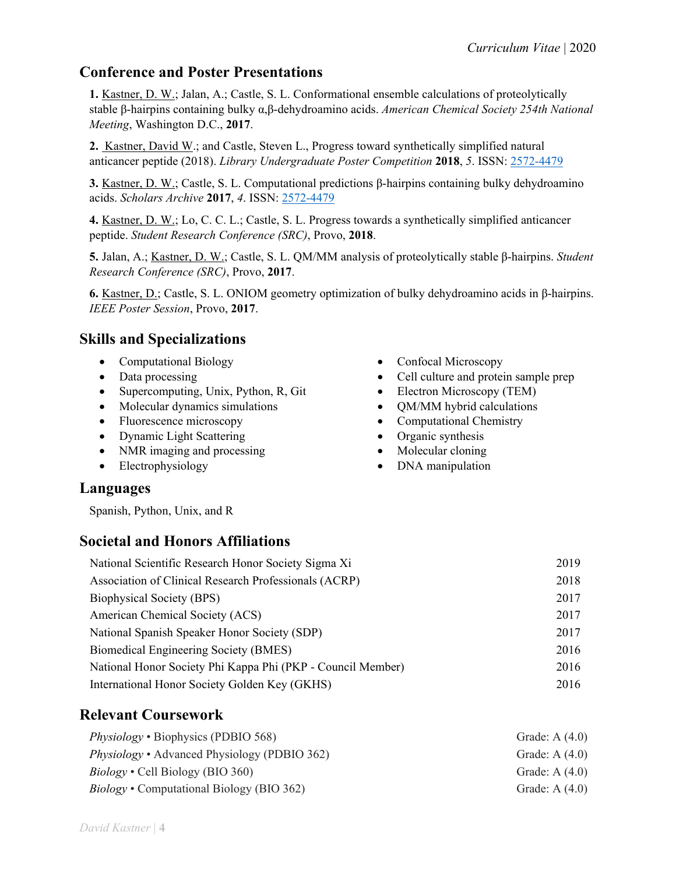# **Conference and Poster Presentations**

**1.** Kastner, D. W.; Jalan, A.; Castle, S. L. Conformational ensemble calculations of proteolytically stable β-hairpins containing bulky α,β-dehydroamino acids. *American Chemical Society 254th National Meeting*, Washington D.C., **2017**.

**2.** Kastner, David W.; and Castle, Steven L., Progress toward synthetically simplified natural anticancer peptide (2018). *Library Undergraduate Poster Competition* **2018**, *5*. ISSN: [2572-4479](https://scholarsarchive.byu.edu/cgi/viewcontent.cgi?article=1000&context=library_studentposters_2018)

**3.** Kastner, D. W.; Castle, S. L. Computational predictions β-hairpins containing bulky dehydroamino acids. *Scholars Archive* **2017**, *4*. ISSN: [2572-4479](https://scholarsarchive.byu.edu/cgi/viewcontent.cgi?article=1003&context=library_studentposters_2017)

**4.** Kastner, D. W.; Lo, C. C. L.; Castle, S. L. Progress towards a synthetically simplified anticancer peptide. *Student Research Conference (SRC)*, Provo, **2018**.

**5.** Jalan, A.; Kastner, D. W.; Castle, S. L. QM/MM analysis of proteolytically stable β-hairpins. *Student Research Conference (SRC)*, Provo, **2017**.

**6.** Kastner, D.; Castle, S. L. ONIOM geometry optimization of bulky dehydroamino acids in β-hairpins. *IEEE Poster Session*, Provo, **2017**.

# **Skills and Specializations**

- Computational Biology
- Data processing
- Supercomputing, Unix, Python, R, Git
- Molecular dynamics simulations
- Fluorescence microscopy
- Dynamic Light Scattering
- NMR imaging and processing
- Electrophysiology
- Confocal Microscopy
- Cell culture and protein sample prep
- Electron Microscopy (TEM)
- QM/MM hybrid calculations
- Computational Chemistry
- Organic synthesis
- Molecular cloning
- DNA manipulation

## **Languages**

Spanish, Python, Unix, and R

## **Societal and Honors Affiliations**

| National Scientific Research Honor Society Sigma Xi         | 2019 |
|-------------------------------------------------------------|------|
| Association of Clinical Research Professionals (ACRP)       | 2018 |
| <b>Biophysical Society (BPS)</b>                            | 2017 |
| American Chemical Society (ACS)                             | 2017 |
| National Spanish Speaker Honor Society (SDP)                | 2017 |
| Biomedical Engineering Society (BMES)                       | 2016 |
| National Honor Society Phi Kappa Phi (PKP - Council Member) | 2016 |
| International Honor Society Golden Key (GKHS)               | 2016 |

# **Relevant Coursework**

| <i>Physiology</i> • Biophysics (PDBIO 568)          | Grade: A $(4.0)$ |
|-----------------------------------------------------|------------------|
| <i>Physiology</i> • Advanced Physiology (PDBIO 362) | Grade: A $(4.0)$ |
| $Biology \cdot$ Cell Biology (BIO 360)              | Grade: A $(4.0)$ |
| <i>Biology</i> • Computational Biology (BIO 362)    | Grade: A $(4.0)$ |